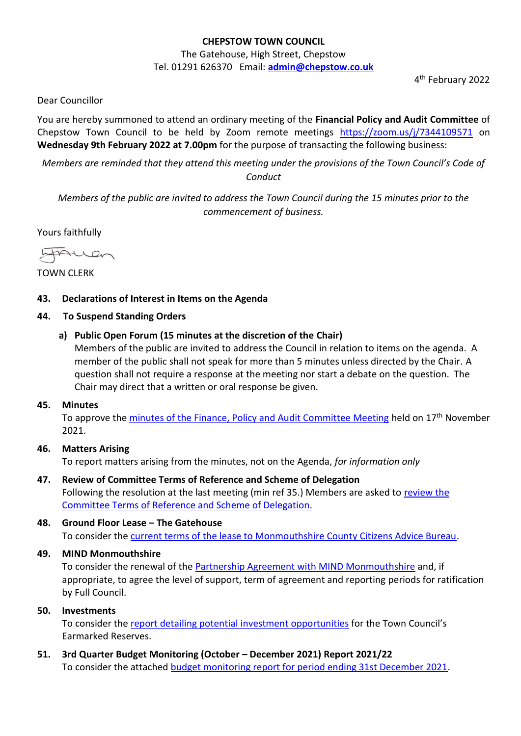# **CHEPSTOW TOWN COUNCIL**

The Gatehouse, High Street, Chepstow Tel. 01291 626370 Email: **[admin@chepstow.co.uk](mailto:admin@chepstow.co.uk)**

4 th February 2022

Dear Councillor

You are hereby summoned to attend an ordinary meeting of the **Financial Policy and Audit Committee** of Chepstow Town Council to be held by Zoom remote meetings <https://zoom.us/j/7344109571> on **Wednesday 9th February 2022 at 7.00pm** for the purpose of transacting the following business:

*Members are reminded that they attend this meeting under the provisions of the Town Council's Code of Conduct*

*Members of the public are invited to address the Town Council during the 15 minutes prior to the commencement of business.*

Yours faithfully

HAUen

TOWN CLERK

# **43. Declarations of Interest in Items on the Agenda**

#### **44. To Suspend Standing Orders**

**a) Public Open Forum (15 minutes at the discretion of the Chair)**

Members of the public are invited to address the Council in relation to items on the agenda. A member of the public shall not speak for more than 5 minutes unless directed by the Chair. A question shall not require a response at the meeting nor start a debate on the question. The Chair may direct that a written or oral response be given.

#### **45. Minutes**

To approve th[e minutes of the Finance, Policy and Audit Committee Meeting](http://www.chepstow.co.uk/_UserFiles/Files/_Minutes/103115-Minutes_FPA_17th_November_2021.pdf) held on 17<sup>th</sup> November 2021.

### **46. Matters Arising** To report matters arising from the minutes, not on the Agenda, *for information only*

**47. Review of Committee Terms of Reference and Scheme of Delegation** Following the resolution at the last meeting (min ref 35.) Members are asked to review the [Committee Terms of Reference and Scheme of Delegation.](https://drive.google.com/file/d/1ekv5DiknS9JIyBHeC-mb3JUKDfwWINyf/view?usp=sharing)

# **48. Ground Floor Lease – The Gatehouse** To consider the [current terms of the lease to Monmouthshire County Citizens Advice Bureau.](https://drive.google.com/file/d/1wD0ewBzPcTdbB3_w6hc4c5cNnWR8_Jn2/view?usp=sharing)

# **49. MIND Monmouthshire**

To consider the renewal of the **Partnership Agreement with MIND Monmouthshire** and, if appropriate, to agree the level of support, term of agreement and reporting periods for ratification by Full Council.

#### **50. Investments**

To consider the [report detailing potential](https://drive.google.com/file/d/1H5twhRhJowcnjTO7m3tDftQBGC1oAOwW/view?usp=sharing) investment opportunities for the Town Council's Earmarked Reserves.

**51. 3rd Quarter Budget Monitoring (October – December 2021) Report 2021/22** To consider the attached [budget monitoring report for period ending 31st December 2021.](https://drive.google.com/file/d/1OcEoFUBijlyulDNLdyx9uqRAr7eS6r8_/view?usp=sharing)